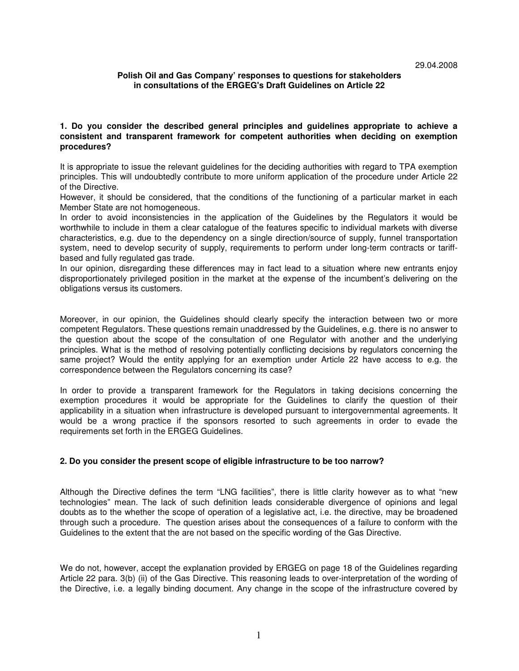# **Polish Oil and Gas Company' responses to questions for stakeholders in consultations of the ERGEG's Draft Guidelines on Article 22**

# **1. Do you consider the described general principles and guidelines appropriate to achieve a consistent and transparent framework for competent authorities when deciding on exemption procedures?**

It is appropriate to issue the relevant guidelines for the deciding authorities with regard to TPA exemption principles. This will undoubtedly contribute to more uniform application of the procedure under Article 22 of the Directive.

However, it should be considered, that the conditions of the functioning of a particular market in each Member State are not homogeneous.

In order to avoid inconsistencies in the application of the Guidelines by the Regulators it would be worthwhile to include in them a clear catalogue of the features specific to individual markets with diverse characteristics, e.g. due to the dependency on a single direction/source of supply, funnel transportation system, need to develop security of supply, requirements to perform under long-term contracts or tariffbased and fully regulated gas trade.

In our opinion, disregarding these differences may in fact lead to a situation where new entrants enjoy disproportionately privileged position in the market at the expense of the incumbent's delivering on the obligations versus its customers.

Moreover, in our opinion, the Guidelines should clearly specify the interaction between two or more competent Regulators. These questions remain unaddressed by the Guidelines, e.g. there is no answer to the question about the scope of the consultation of one Regulator with another and the underlying principles. What is the method of resolving potentially conflicting decisions by regulators concerning the same project? Would the entity applying for an exemption under Article 22 have access to e.g. the correspondence between the Regulators concerning its case?

In order to provide a transparent framework for the Regulators in taking decisions concerning the exemption procedures it would be appropriate for the Guidelines to clarify the question of their applicability in a situation when infrastructure is developed pursuant to intergovernmental agreements. It would be a wrong practice if the sponsors resorted to such agreements in order to evade the requirements set forth in the ERGEG Guidelines.

# **2. Do you consider the present scope of eligible infrastructure to be too narrow?**

Although the Directive defines the term "LNG facilities", there is little clarity however as to what "new technologies" mean. The lack of such definition leads considerable divergence of opinions and legal doubts as to the whether the scope of operation of a legislative act, i.e. the directive, may be broadened through such a procedure. The question arises about the consequences of a failure to conform with the Guidelines to the extent that the are not based on the specific wording of the Gas Directive.

We do not, however, accept the explanation provided by ERGEG on page 18 of the Guidelines regarding Article 22 para. 3(b) (ii) of the Gas Directive. This reasoning leads to over-interpretation of the wording of the Directive, i.e. a legally binding document. Any change in the scope of the infrastructure covered by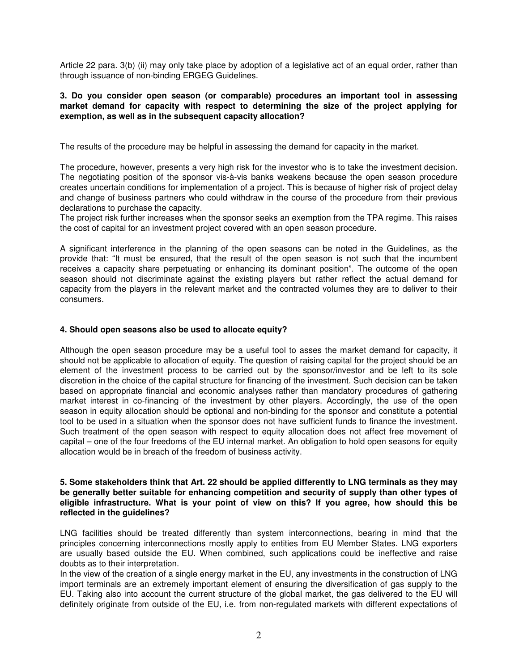Article 22 para. 3(b) (ii) may only take place by adoption of a legislative act of an equal order, rather than through issuance of non-binding ERGEG Guidelines.

# **3. Do you consider open season (or comparable) procedures an important tool in assessing market demand for capacity with respect to determining the size of the project applying for exemption, as well as in the subsequent capacity allocation?**

The results of the procedure may be helpful in assessing the demand for capacity in the market.

The procedure, however, presents a very high risk for the investor who is to take the investment decision. The negotiating position of the sponsor vis-à-vis banks weakens because the open season procedure creates uncertain conditions for implementation of a project. This is because of higher risk of project delay and change of business partners who could withdraw in the course of the procedure from their previous declarations to purchase the capacity.

The project risk further increases when the sponsor seeks an exemption from the TPA regime. This raises the cost of capital for an investment project covered with an open season procedure.

A significant interference in the planning of the open seasons can be noted in the Guidelines, as the provide that: "It must be ensured, that the result of the open season is not such that the incumbent receives a capacity share perpetuating or enhancing its dominant position". The outcome of the open season should not discriminate against the existing players but rather reflect the actual demand for capacity from the players in the relevant market and the contracted volumes they are to deliver to their consumers.

# **4. Should open seasons also be used to allocate equity?**

Although the open season procedure may be a useful tool to asses the market demand for capacity, it should not be applicable to allocation of equity. The question of raising capital for the project should be an element of the investment process to be carried out by the sponsor/investor and be left to its sole discretion in the choice of the capital structure for financing of the investment. Such decision can be taken based on appropriate financial and economic analyses rather than mandatory procedures of gathering market interest in co-financing of the investment by other players. Accordingly, the use of the open season in equity allocation should be optional and non-binding for the sponsor and constitute a potential tool to be used in a situation when the sponsor does not have sufficient funds to finance the investment. Such treatment of the open season with respect to equity allocation does not affect free movement of capital – one of the four freedoms of the EU internal market. An obligation to hold open seasons for equity allocation would be in breach of the freedom of business activity.

# **5. Some stakeholders think that Art. 22 should be applied differently to LNG terminals as they may be generally better suitable for enhancing competition and security of supply than other types of eligible infrastructure. What is your point of view on this? If you agree, how should this be reflected in the guidelines?**

LNG facilities should be treated differently than system interconnections, bearing in mind that the principles concerning interconnections mostly apply to entities from EU Member States. LNG exporters are usually based outside the EU. When combined, such applications could be ineffective and raise doubts as to their interpretation.

In the view of the creation of a single energy market in the EU, any investments in the construction of LNG import terminals are an extremely important element of ensuring the diversification of gas supply to the EU. Taking also into account the current structure of the global market, the gas delivered to the EU will definitely originate from outside of the EU, i.e. from non-regulated markets with different expectations of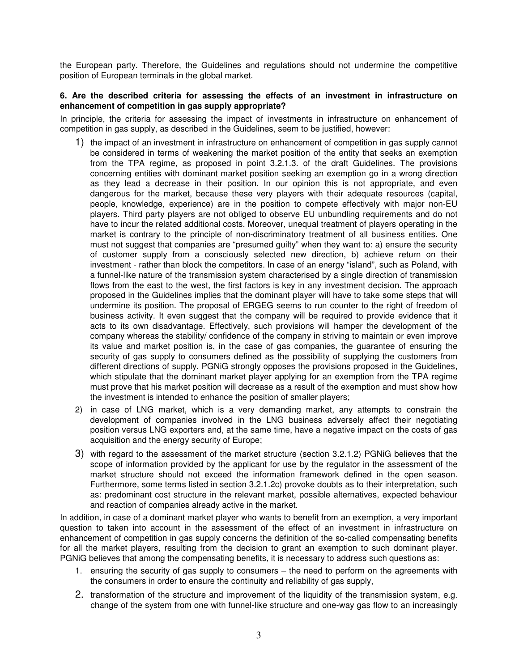the European party. Therefore, the Guidelines and regulations should not undermine the competitive position of European terminals in the global market.

# **6. Are the described criteria for assessing the effects of an investment in infrastructure on enhancement of competition in gas supply appropriate?**

In principle, the criteria for assessing the impact of investments in infrastructure on enhancement of competition in gas supply, as described in the Guidelines, seem to be justified, however:

- 1) the impact of an investment in infrastructure on enhancement of competition in gas supply cannot be considered in terms of weakening the market position of the entity that seeks an exemption from the TPA regime, as proposed in point 3.2.1.3. of the draft Guidelines. The provisions concerning entities with dominant market position seeking an exemption go in a wrong direction as they lead a decrease in their position. In our opinion this is not appropriate, and even dangerous for the market, because these very players with their adequate resources (capital, people, knowledge, experience) are in the position to compete effectively with major non-EU players. Third party players are not obliged to observe EU unbundling requirements and do not have to incur the related additional costs. Moreover, unequal treatment of players operating in the market is contrary to the principle of non-discriminatory treatment of all business entities. One must not suggest that companies are "presumed guilty" when they want to: a) ensure the security of customer supply from a consciously selected new direction, b) achieve return on their investment - rather than block the competitors. In case of an energy "island", such as Poland, with a funnel-like nature of the transmission system characterised by a single direction of transmission flows from the east to the west, the first factors is key in any investment decision. The approach proposed in the Guidelines implies that the dominant player will have to take some steps that will undermine its position. The proposal of ERGEG seems to run counter to the right of freedom of business activity. It even suggest that the company will be required to provide evidence that it acts to its own disadvantage. Effectively, such provisions will hamper the development of the company whereas the stability/ confidence of the company in striving to maintain or even improve its value and market position is, in the case of gas companies, the guarantee of ensuring the security of gas supply to consumers defined as the possibility of supplying the customers from different directions of supply. PGNiG strongly opposes the provisions proposed in the Guidelines, which stipulate that the dominant market player applying for an exemption from the TPA regime must prove that his market position will decrease as a result of the exemption and must show how the investment is intended to enhance the position of smaller players;
- 2) in case of LNG market, which is a very demanding market, any attempts to constrain the development of companies involved in the LNG business adversely affect their negotiating position versus LNG exporters and, at the same time, have a negative impact on the costs of gas acquisition and the energy security of Europe;
- 3) with regard to the assessment of the market structure (section 3.2.1.2) PGNiG believes that the scope of information provided by the applicant for use by the regulator in the assessment of the market structure should not exceed the information framework defined in the open season. Furthermore, some terms listed in section 3.2.1.2c) provoke doubts as to their interpretation, such as: predominant cost structure in the relevant market, possible alternatives, expected behaviour and reaction of companies already active in the market.

In addition, in case of a dominant market player who wants to benefit from an exemption, a very important question to taken into account in the assessment of the effect of an investment in infrastructure on enhancement of competition in gas supply concerns the definition of the so-called compensating benefits for all the market players, resulting from the decision to grant an exemption to such dominant player. PGNiG believes that among the compensating benefits, it is necessary to address such questions as:

- 1. ensuring the security of gas supply to consumers the need to perform on the agreements with the consumers in order to ensure the continuity and reliability of gas supply,
- 2. transformation of the structure and improvement of the liquidity of the transmission system, e.g. change of the system from one with funnel-like structure and one-way gas flow to an increasingly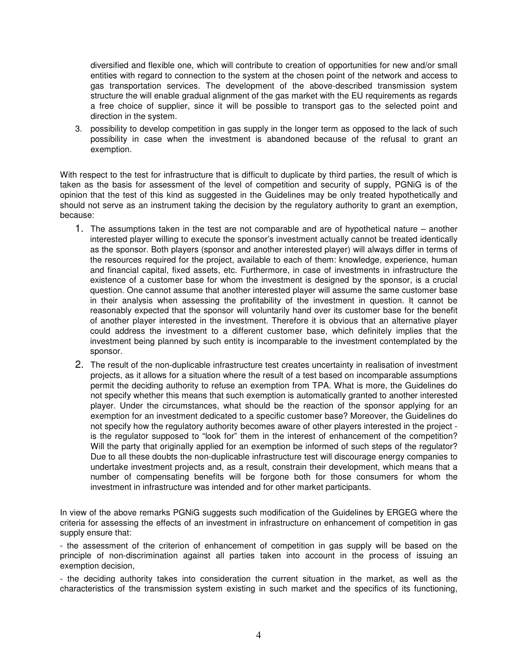diversified and flexible one, which will contribute to creation of opportunities for new and/or small entities with regard to connection to the system at the chosen point of the network and access to gas transportation services. The development of the above-described transmission system structure the will enable gradual alignment of the gas market with the EU requirements as regards a free choice of supplier, since it will be possible to transport gas to the selected point and direction in the system.

3. possibility to develop competition in gas supply in the longer term as opposed to the lack of such possibility in case when the investment is abandoned because of the refusal to grant an exemption.

With respect to the test for infrastructure that is difficult to duplicate by third parties, the result of which is taken as the basis for assessment of the level of competition and security of supply, PGNiG is of the opinion that the test of this kind as suggested in the Guidelines may be only treated hypothetically and should not serve as an instrument taking the decision by the regulatory authority to grant an exemption, because:

- 1. The assumptions taken in the test are not comparable and are of hypothetical nature another interested player willing to execute the sponsor's investment actually cannot be treated identically as the sponsor. Both players (sponsor and another interested player) will always differ in terms of the resources required for the project, available to each of them: knowledge, experience, human and financial capital, fixed assets, etc. Furthermore, in case of investments in infrastructure the existence of a customer base for whom the investment is designed by the sponsor, is a crucial question. One cannot assume that another interested player will assume the same customer base in their analysis when assessing the profitability of the investment in question. It cannot be reasonably expected that the sponsor will voluntarily hand over its customer base for the benefit of another player interested in the investment. Therefore it is obvious that an alternative player could address the investment to a different customer base, which definitely implies that the investment being planned by such entity is incomparable to the investment contemplated by the sponsor.
- 2. The result of the non-duplicable infrastructure test creates uncertainty in realisation of investment projects, as it allows for a situation where the result of a test based on incomparable assumptions permit the deciding authority to refuse an exemption from TPA. What is more, the Guidelines do not specify whether this means that such exemption is automatically granted to another interested player. Under the circumstances, what should be the reaction of the sponsor applying for an exemption for an investment dedicated to a specific customer base? Moreover, the Guidelines do not specify how the regulatory authority becomes aware of other players interested in the project is the regulator supposed to "look for" them in the interest of enhancement of the competition? Will the party that originally applied for an exemption be informed of such steps of the regulator? Due to all these doubts the non-duplicable infrastructure test will discourage energy companies to undertake investment projects and, as a result, constrain their development, which means that a number of compensating benefits will be forgone both for those consumers for whom the investment in infrastructure was intended and for other market participants.

In view of the above remarks PGNiG suggests such modification of the Guidelines by ERGEG where the criteria for assessing the effects of an investment in infrastructure on enhancement of competition in gas supply ensure that:

- the assessment of the criterion of enhancement of competition in gas supply will be based on the principle of non-discrimination against all parties taken into account in the process of issuing an exemption decision,

- the deciding authority takes into consideration the current situation in the market, as well as the characteristics of the transmission system existing in such market and the specifics of its functioning,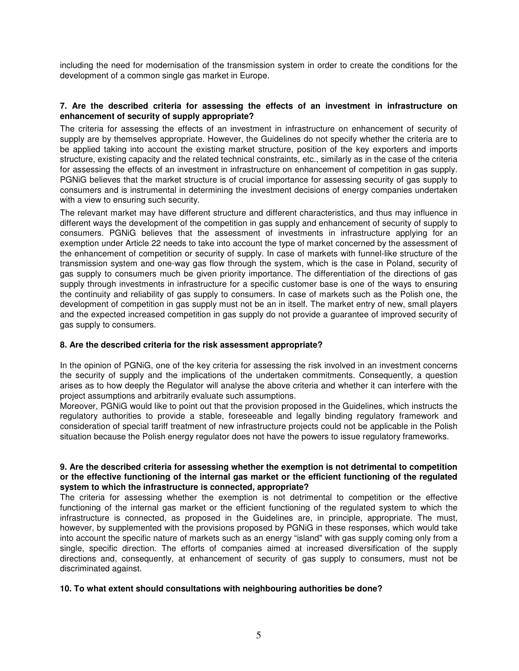including the need for modernisation of the transmission system in order to create the conditions for the development of a common single gas market in Europe.

# **7. Are the described criteria for assessing the effects of an investment in infrastructure on enhancement of security of supply appropriate?**

The criteria for assessing the effects of an investment in infrastructure on enhancement of security of supply are by themselves appropriate. However, the Guidelines do not specify whether the criteria are to be applied taking into account the existing market structure, position of the key exporters and imports structure, existing capacity and the related technical constraints, etc., similarly as in the case of the criteria for assessing the effects of an investment in infrastructure on enhancement of competition in gas supply. PGNiG believes that the market structure is of crucial importance for assessing security of gas supply to consumers and is instrumental in determining the investment decisions of energy companies undertaken with a view to ensuring such security.

The relevant market may have different structure and different characteristics, and thus may influence in different ways the development of the competition in gas supply and enhancement of security of supply to consumers. PGNiG believes that the assessment of investments in infrastructure applying for an exemption under Article 22 needs to take into account the type of market concerned by the assessment of the enhancement of competition or security of supply. In case of markets with funnel-like structure of the transmission system and one-way gas flow through the system, which is the case in Poland, security of gas supply to consumers much be given priority importance. The differentiation of the directions of gas supply through investments in infrastructure for a specific customer base is one of the ways to ensuring the continuity and reliability of gas supply to consumers. In case of markets such as the Polish one, the development of competition in gas supply must not be an in itself. The market entry of new, small players and the expected increased competition in gas supply do not provide a guarantee of improved security of gas supply to consumers.

# **8. Are the described criteria for the risk assessment appropriate?**

In the opinion of PGNiG, one of the key criteria for assessing the risk involved in an investment concerns the security of supply and the implications of the undertaken commitments. Consequently, a question arises as to how deeply the Regulator will analyse the above criteria and whether it can interfere with the project assumptions and arbitrarily evaluate such assumptions.

Moreover, PGNiG would like to point out that the provision proposed in the Guidelines, which instructs the regulatory authorities to provide a stable, foreseeable and legally binding regulatory framework and consideration of special tariff treatment of new infrastructure projects could not be applicable in the Polish situation because the Polish energy regulator does not have the powers to issue regulatory frameworks.

## **9. Are the described criteria for assessing whether the exemption is not detrimental to competition or the effective functioning of the internal gas market or the efficient functioning of the regulated system to which the infrastructure is connected, appropriate?**

The criteria for assessing whether the exemption is not detrimental to competition or the effective functioning of the internal gas market or the efficient functioning of the regulated system to which the infrastructure is connected, as proposed in the Guidelines are, in principle, appropriate. The must, however, by supplemented with the provisions proposed by PGNiG in these responses, which would take into account the specific nature of markets such as an energy "island" with gas supply coming only from a single, specific direction. The efforts of companies aimed at increased diversification of the supply directions and, consequently, at enhancement of security of gas supply to consumers, must not be discriminated against.

#### **10. To what extent should consultations with neighbouring authorities be done?**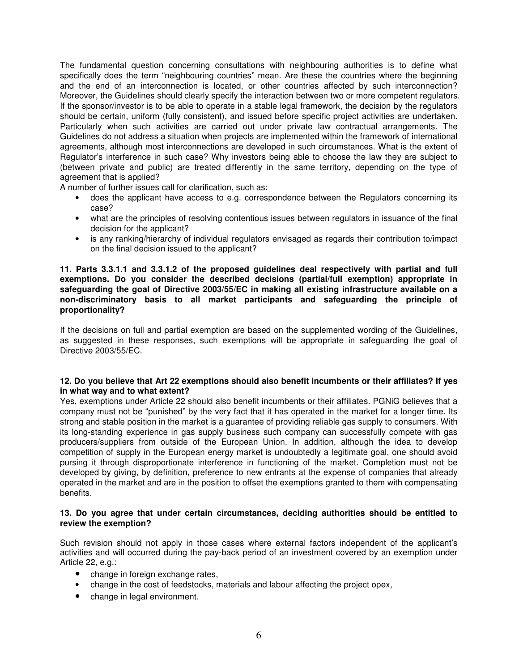The fundamental question concerning consultations with neighbouring authorities is to define what specifically does the term "neighbouring countries" mean. Are these the countries where the beginning and the end of an interconnection is located, or other countries affected by such interconnection? Moreover, the Guidelines should clearly specify the interaction between two or more competent regulators. If the sponsor/investor is to be able to operate in a stable legal framework, the decision by the regulators should be certain, uniform (fully consistent), and issued before specific project activities are undertaken. Particularly when such activities are carried out under private law contractual arrangements. The Guidelines do not address a situation when projects are implemented within the framework of international agreements, although most interconnections are developed in such circumstances. What is the extent of Regulator's interference in such case? Why investors being able to choose the law they are subject to (between private and public) are treated differently in the same territory, depending on the type of agreement that is applied?

A number of further issues call for clarification, such as:

- does the applicant have access to e.g. correspondence between the Regulators concerning its case?
- what are the principles of resolving contentious issues between regulators in issuance of the final decision for the applicant?
- is any ranking/hierarchy of individual regulators envisaged as regards their contribution to/impact on the final decision issued to the applicant?

## **11. Parts 3.3.1.1 and 3.3.1.2 of the proposed guidelines deal respectively with partial and full exemptions. Do you consider the described decisions (partial/full exemption) appropriate in safeguarding the goal of Directive 2003/55/EC in making all existing infrastructure available on a non-discriminatory basis to all market participants and safeguarding the principle of proportionality?**

If the decisions on full and partial exemption are based on the supplemented wording of the Guidelines, as suggested in these responses, such exemptions will be appropriate in safeguarding the goal of Directive 2003/55/EC.

# **12. Do you believe that Art 22 exemptions should also benefit incumbents or their affiliates? If yes in what way and to what extent?**

Yes, exemptions under Article 22 should also benefit incumbents or their affiliates. PGNiG believes that a company must not be "punished" by the very fact that it has operated in the market for a longer time. Its strong and stable position in the market is a guarantee of providing reliable gas supply to consumers. With its long-standing experience in gas supply business such company can successfully compete with gas producers/suppliers from outside of the European Union. In addition, although the idea to develop competition of supply in the European energy market is undoubtedly a legitimate goal, one should avoid pursing it through disproportionate interference in functioning of the market. Completion must not be developed by giving, by definition, preference to new entrants at the expense of companies that already operated in the market and are in the position to offset the exemptions granted to them with compensating benefits.

# **13. Do you agree that under certain circumstances, deciding authorities should be entitled to review the exemption?**

Such revision should not apply in those cases where external factors independent of the applicant's activities and will occurred during the pay-back period of an investment covered by an exemption under Article 22, e.g.:

- change in foreign exchange rates,
- change in the cost of feedstocks, materials and labour affecting the project opex,
- change in legal environment.